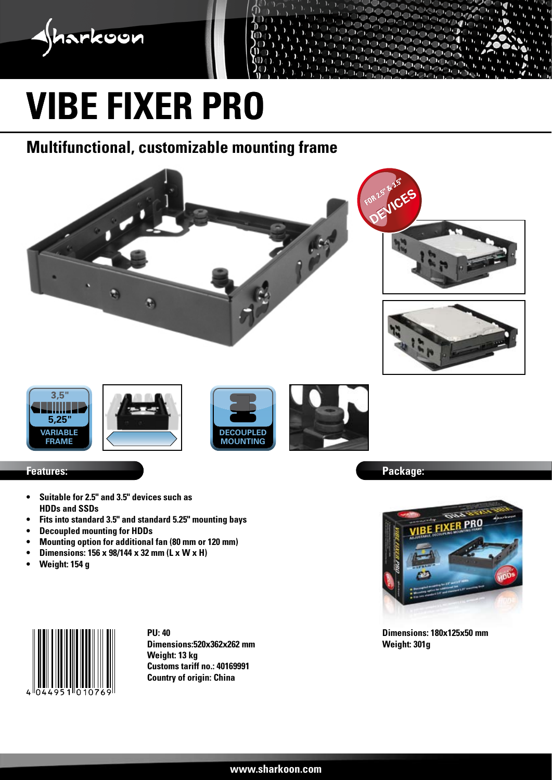

# **vibe fixer pro**

### **Multifunctional, customizable mounting frame**



- **• Suitable for 2.5" and 3.5" devices such as HDDs and SSDs**
- **• Fits into standard 3.5" and standard 5.25" mounting bays**
- **• Decoupled mounting for HDDs**
- **• Mounting option for additional fan (80 mm or 120 mm)**
- **• Dimensions: 156 x 98/144 x 32 mm (L x W x H)**
- **• Weight: 154 g**



**PU: 40 Dimensions:520x362x262 mm Weight: 13 kg Customs tariff no.: 40169991 Country of origin: China**





**Dimensions: 180x125x50 mm Weight: 301g**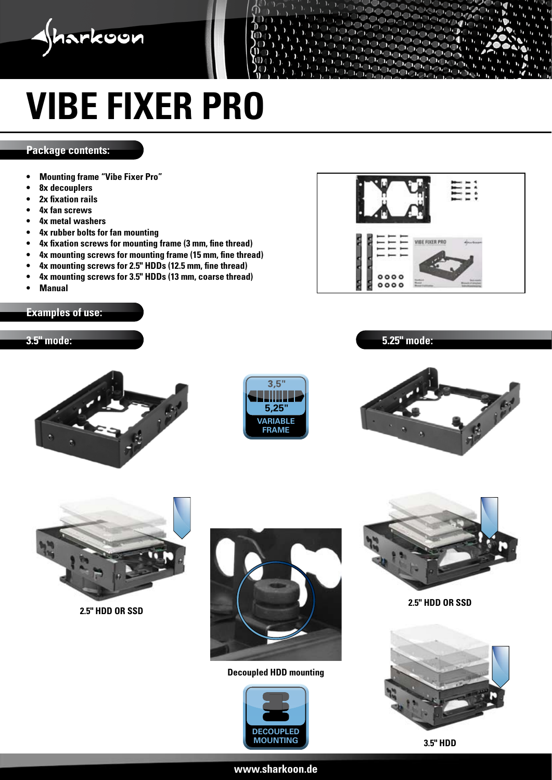

## **vibe fixer pro**

#### **Package contents:**

- **• Mounting frame "Vibe Fixer Pro"**
- **• 8x decouplers**
- **• 2x fixation rails**
- **• 4x fan screws**
- **• 4x metal washers**
- **• 4x rubber bolts for fan mounting**
- **• 4x fixation screws for mounting frame (3 mm, fine thread)**
- **• 4x mounting screws for mounting frame (15 mm, fine thread)**
- **• 4x mounting screws for 2.5" HDDs (12.5 mm, fine thread)**
- **• 4x mounting screws for 3.5" HDDs (13 mm, coarse thread)**
- **• Manual**

#### **Examples of use:**

#### **3.5" mode:**



**5.25" mode:**









**2.5" HDD OR SSD**



**Decoupled HDD mounting**





**2.5" HDD OR SSD**





#### **www.sharkoon.de**